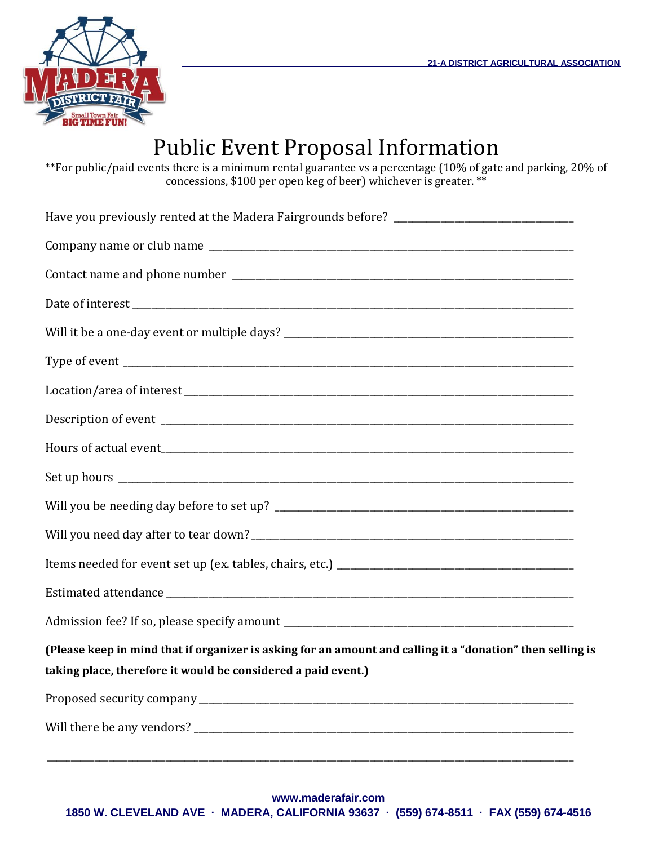

## Public Event Proposal Information

\*\*For public/paid events there is a minimum rental guarantee vs a percentage (10% of gate and parking, 20% of concessions, \$100 per open keg of beer) whichever is greater. \*\*

| (Please keep in mind that if organizer is asking for an amount and calling it a "donation" then selling is<br>taking place, therefore it would be considered a paid event.) |
|-----------------------------------------------------------------------------------------------------------------------------------------------------------------------------|
|                                                                                                                                                                             |
|                                                                                                                                                                             |